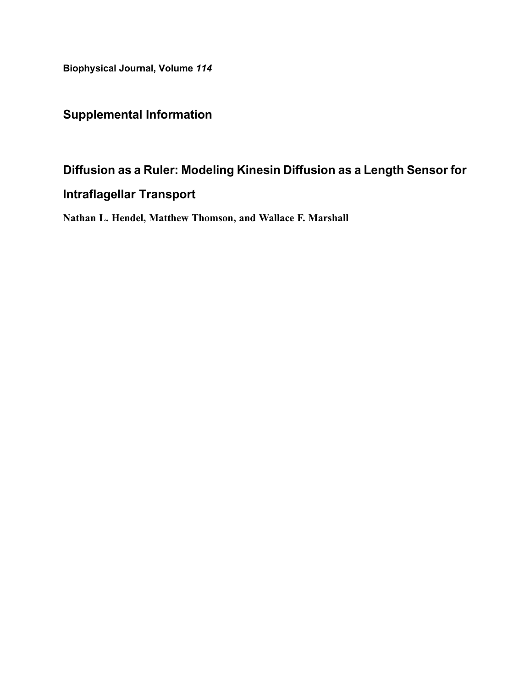Biophysical Journal, Volume 114

# Supplemental Information

# Diffusion as a Ruler: Modeling Kinesin Diffusion as a Length Sensor for

# Intraflagellar Transport

Nathan L. Hendel, Matthew Thomson, and Wallace F. Marshall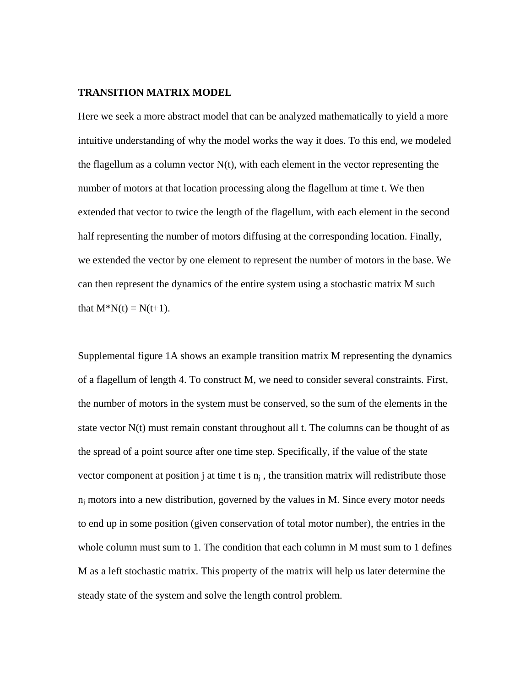#### **TRANSITION MATRIX MODEL**

Here we seek a more abstract model that can be analyzed mathematically to yield a more intuitive understanding of why the model works the way it does. To this end, we modeled the flagellum as a column vector  $N(t)$ , with each element in the vector representing the number of motors at that location processing along the flagellum at time t. We then extended that vector to twice the length of the flagellum, with each element in the second half representing the number of motors diffusing at the corresponding location. Finally, we extended the vector by one element to represent the number of motors in the base. We can then represent the dynamics of the entire system using a stochastic matrix M such that  $M^*N(t) = N(t+1)$ .

Supplemental figure 1A shows an example transition matrix M representing the dynamics of a flagellum of length 4. To construct M, we need to consider several constraints. First, the number of motors in the system must be conserved, so the sum of the elements in the state vector N(t) must remain constant throughout all t. The columns can be thought of as the spread of a point source after one time step. Specifically, if the value of the state vector component at position j at time t is  $n_i$ , the transition matrix will redistribute those  $n_i$  motors into a new distribution, governed by the values in M. Since every motor needs to end up in some position (given conservation of total motor number), the entries in the whole column must sum to 1. The condition that each column in M must sum to 1 defines M as a left stochastic matrix. This property of the matrix will help us later determine the steady state of the system and solve the length control problem.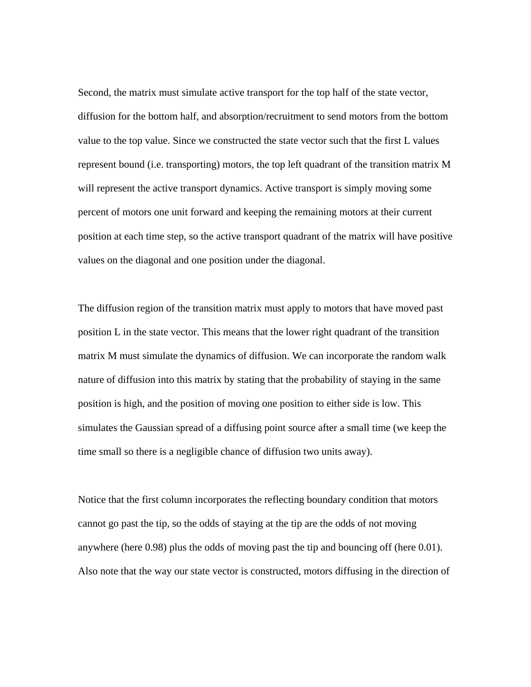Second, the matrix must simulate active transport for the top half of the state vector, diffusion for the bottom half, and absorption/recruitment to send motors from the bottom value to the top value. Since we constructed the state vector such that the first L values represent bound (i.e. transporting) motors, the top left quadrant of the transition matrix M will represent the active transport dynamics. Active transport is simply moving some percent of motors one unit forward and keeping the remaining motors at their current position at each time step, so the active transport quadrant of the matrix will have positive values on the diagonal and one position under the diagonal.

The diffusion region of the transition matrix must apply to motors that have moved past position L in the state vector. This means that the lower right quadrant of the transition matrix M must simulate the dynamics of diffusion. We can incorporate the random walk nature of diffusion into this matrix by stating that the probability of staying in the same position is high, and the position of moving one position to either side is low. This simulates the Gaussian spread of a diffusing point source after a small time (we keep the time small so there is a negligible chance of diffusion two units away).

Notice that the first column incorporates the reflecting boundary condition that motors cannot go past the tip, so the odds of staying at the tip are the odds of not moving anywhere (here 0.98) plus the odds of moving past the tip and bouncing off (here 0.01). Also note that the way our state vector is constructed, motors diffusing in the direction of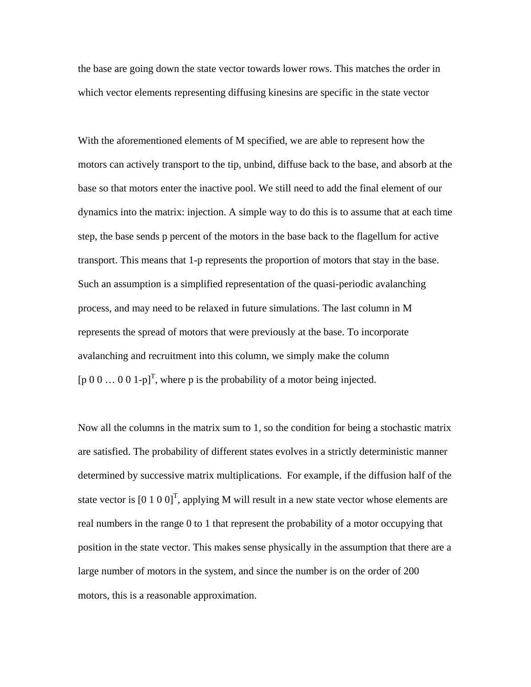the base are going down the state vector towards lower rows. This matches the order in which vector elements representing diffusing kinesins are specific in the state vector

With the aforementioned elements of M specified, we are able to represent how the motors can actively transport to the tip, unbind, diffuse back to the base, and absorb at the base so that motors enter the inactive pool. We still need to add the final element of our dynamics into the matrix: injection. A simple way to do this is to assume that at each time step, the base sends p percent of the motors in the base back to the flagellum for active transport. This means that 1-p represents the proportion of motors that stay in the base. Such an assumption is a simplified representation of the quasi-periodic avalanching process, and may need to be relaxed in future simulations. The last column in M represents the spread of motors that were previously at the base. To incorporate avalanching and recruitment into this column, we simply make the column [p 0 0 ... 0 0 1-p]<sup>T</sup>, where p is the probability of a motor being injected.

Now all the columns in the matrix sum to 1, so the condition for being a stochastic matrix are satisfied. The probability of different states evolves in a strictly deterministic manner determined by successive matrix multiplications. For example, if the diffusion half of the state vector is  $[0 1 0 0]$ <sup>T</sup>, applying M will result in a new state vector whose elements are real numbers in the range 0 to 1 that represent the probability of a motor occupying that position in the state vector. This makes sense physically in the assumption that there are a large number of motors in the system, and since the number is on the order of 200 motors, this is a reasonable approximation.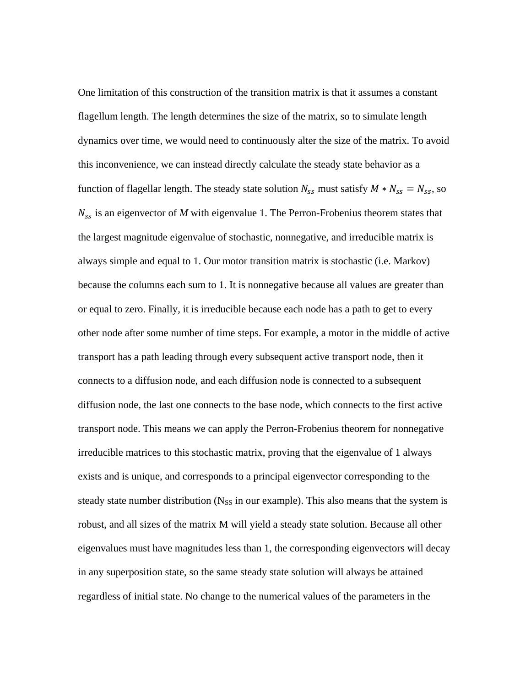One limitation of this construction of the transition matrix is that it assumes a constant flagellum length. The length determines the size of the matrix, so to simulate length dynamics over time, we would need to continuously alter the size of the matrix. To avoid this inconvenience, we can instead directly calculate the steady state behavior as a function of flagellar length. The steady state solution  $N_{ss}$  must satisfy  $M*N_{ss} = N_{ss}$ , so  $N_{ss}$  is an eigenvector of M with eigenvalue 1. The Perron-Frobenius theorem states that the largest magnitude eigenvalue of stochastic, nonnegative, and irreducible matrix is always simple and equal to 1. Our motor transition matrix is stochastic (i.e. Markov) because the columns each sum to 1. It is nonnegative because all values are greater than or equal to zero. Finally, it is irreducible because each node has a path to get to every other node after some number of time steps. For example, a motor in the middle of active transport has a path leading through every subsequent active transport node, then it connects to a diffusion node, and each diffusion node is connected to a subsequent diffusion node, the last one connects to the base node, which connects to the first active transport node. This means we can apply the Perron-Frobenius theorem for nonnegative irreducible matrices to this stochastic matrix, proving that the eigenvalue of 1 always exists and is unique, and corresponds to a principal eigenvector corresponding to the steady state number distribution ( $N_{SS}$  in our example). This also means that the system is robust, and all sizes of the matrix M will yield a steady state solution. Because all other eigenvalues must have magnitudes less than 1, the corresponding eigenvectors will decay in any superposition state, so the same steady state solution will always be attained regardless of initial state. No change to the numerical values of the parameters in the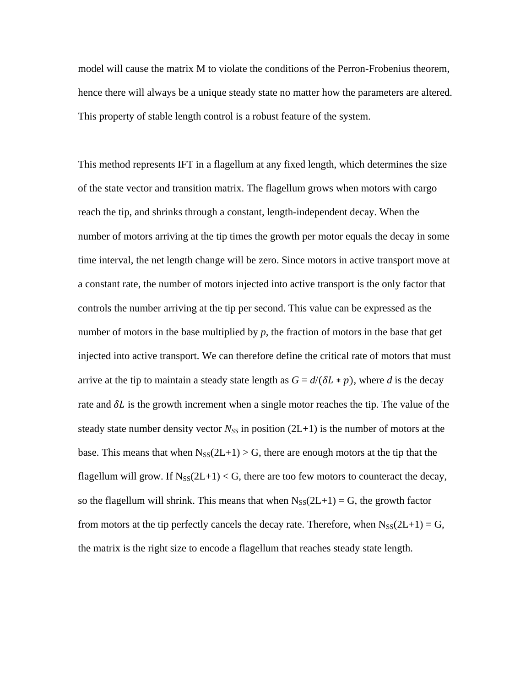model will cause the matrix M to violate the conditions of the Perron-Frobenius theorem, hence there will always be a unique steady state no matter how the parameters are altered. This property of stable length control is a robust feature of the system.

This method represents IFT in a flagellum at any fixed length, which determines the size of the state vector and transition matrix. The flagellum grows when motors with cargo reach the tip, and shrinks through a constant, length-independent decay. When the number of motors arriving at the tip times the growth per motor equals the decay in some time interval, the net length change will be zero. Since motors in active transport move at a constant rate, the number of motors injected into active transport is the only factor that controls the number arriving at the tip per second. This value can be expressed as the number of motors in the base multiplied by *p,* the fraction of motors in the base that get injected into active transport. We can therefore define the critical rate of motors that must arrive at the tip to maintain a steady state length as  $G = d/(\delta L * p)$ , where *d* is the decay rate and  $\delta L$  is the growth increment when a single motor reaches the tip. The value of the steady state number density vector  $N_{SS}$  in position (2L+1) is the number of motors at the base. This means that when  $N_{SS}(2L+1) > G$ , there are enough motors at the tip that the flagellum will grow. If  $N_{SS}(2L+1) < G$ , there are too few motors to counteract the decay, so the flagellum will shrink. This means that when  $N_{SS}(2L+1) = G$ , the growth factor from motors at the tip perfectly cancels the decay rate. Therefore, when  $N_{SS}(2L+1) = G$ , the matrix is the right size to encode a flagellum that reaches steady state length.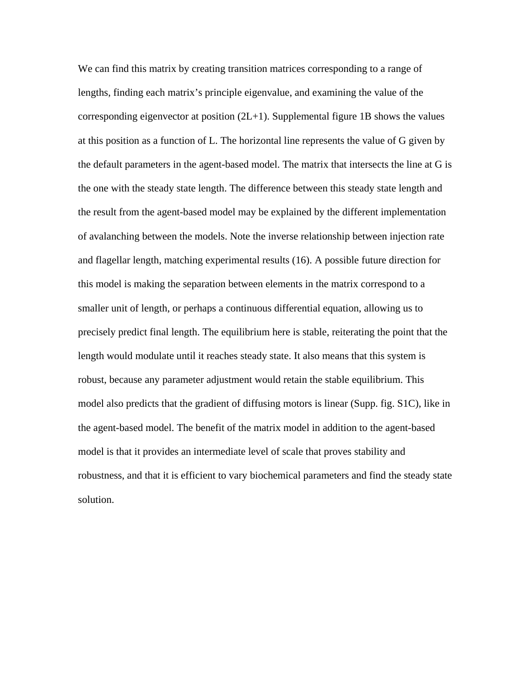We can find this matrix by creating transition matrices corresponding to a range of lengths, finding each matrix's principle eigenvalue, and examining the value of the corresponding eigenvector at position (2L+1). Supplemental figure 1B shows the values at this position as a function of L. The horizontal line represents the value of G given by the default parameters in the agent-based model. The matrix that intersects the line at G is the one with the steady state length. The difference between this steady state length and the result from the agent-based model may be explained by the different implementation of avalanching between the models. Note the inverse relationship between injection rate and flagellar length, matching experimental results (16). A possible future direction for this model is making the separation between elements in the matrix correspond to a smaller unit of length, or perhaps a continuous differential equation, allowing us to precisely predict final length. The equilibrium here is stable, reiterating the point that the length would modulate until it reaches steady state. It also means that this system is robust, because any parameter adjustment would retain the stable equilibrium. This model also predicts that the gradient of diffusing motors is linear (Supp. fig. S1C), like in the agent-based model. The benefit of the matrix model in addition to the agent-based model is that it provides an intermediate level of scale that proves stability and robustness, and that it is efficient to vary biochemical parameters and find the steady state solution.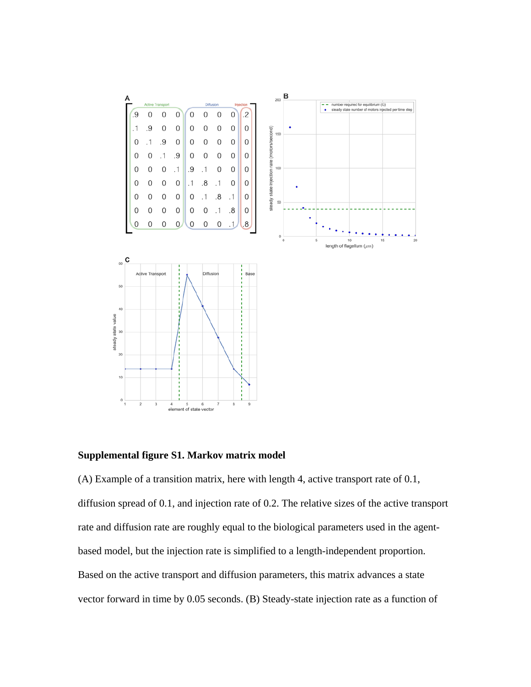

#### **Supplemental figure S1. Markov matrix model**

(A) Example of a transition matrix, here with length 4, active transport rate of 0.1, diffusion spread of 0.1, and injection rate of 0.2. The relative sizes of the active transport rate and diffusion rate are roughly equal to the biological parameters used in the agentbased model, but the injection rate is simplified to a length-independent proportion. Based on the active transport and diffusion parameters, this matrix advances a state vector forward in time by 0.05 seconds. (B) Steady-state injection rate as a function of